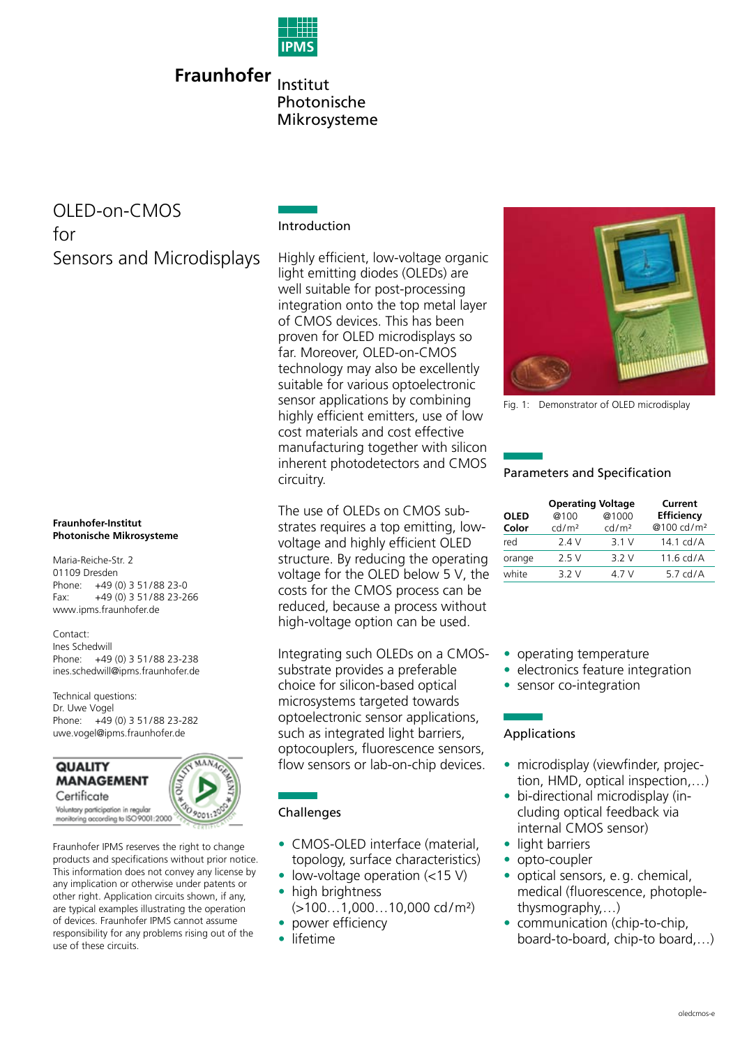

### **Fraunhofer** Institut Photonische Mikrosysteme

## OLED-on-CMOS for Sensors and Microdisplays

#### Introduction

Highly efficient, low-voltage organic light emitting diodes (OLEDs) are well suitable for post-processing integration onto the top metal layer of CMOS devices. This has been proven for OLED microdisplays so far. Moreover, OLED-on-CMOS technology may also be excellently suitable for various optoelectronic sensor applications by combining highly efficient emitters, use of low cost materials and cost effective manufacturing together with silicon inherent photodetectors and CMOS circuitry.

The use of OLEDs on CMOS substrates requires a top emitting, lowvoltage and highly efficient OLED structure. By reducing the operating voltage for the OLED below 5 V, the costs for the CMOS process can be reduced, because a process without high-voltage option can be used.

Integrating such OLEDs on a CMOSsubstrate provides a preferable choice for silicon-based optical microsystems targeted towards optoelectronic sensor applications, such as integrated light barriers, optocouplers, fluorescence sensors, flow sensors or lab-on-chip devices.

#### Challenges

- CMOS-OLED interface (material, topology, surface characteristics)
- low-voltage operation (<15 V)
- high brightness (>100…1,000…10,000 cd/m²)
- power efficiency
- lifetime



Fig. 1: Demonstrator of OLED microdisplay

#### Parameters and Specification

|             | <b>Operating Voltage</b> |                   | Current                |
|-------------|--------------------------|-------------------|------------------------|
| <b>OLED</b> | @100                     | @1000             | <b>Efficiency</b>      |
| Color       | cd/m <sup>2</sup>        | cd/m <sup>2</sup> | @100 cd/m <sup>2</sup> |
| red         | 2.4 V                    | 3.1V              | $14.1 \text{ cd/A}$    |
| orange      | 25 V                     | 3.2V              | $11.6 \text{ cd/A}$    |
| white       | 3 2 V                    | 4 7 V             | 5.7 $cd/A$             |

- operating temperature
- electronics feature integration •
- sensor co-integration

#### Applications

- microdisplay (viewfinder, projection, HMD, optical inspection,…)
- bi-directional microdisplay (including optical feedback via internal CMOS sensor)
- light barriers
- opto-coupler
- optical sensors, e.g. chemical, medical (fluorescence, photoplethysmography,…)
- communication (chip-to-chip, board-to-board, chip-to board,…)

# **Photonische Mikrosysteme**

**Fraunhofer-Institut**

Maria-Reiche-Str. 2 01109 Dresden Phone: +49 (0) 3 51/88 23-0 Fax: +49 (0) 3 51/88 23-266 www.ipms.fraunhofer.de

Contact: Ines Schedwill Phone: +49 (0) 3 51/88 23-238 ines.schedwill@ipms.fraunhofer.de

Technical questions: Dr. Uwe Vogel Phone: +49 (0) 3 51/88 23-282 uwe.vogel@ipms.fraunhofer.de



Fraunhofer IPMS reserves the right to change products and specifications without prior notice. This information does not convey any license by any implication or otherwise under patents or other right. Application circuits shown, if any, are typical examples illustrating the operation of devices. Fraunhofer IPMS cannot assume responsibility for any problems rising out of the use of these circuits.